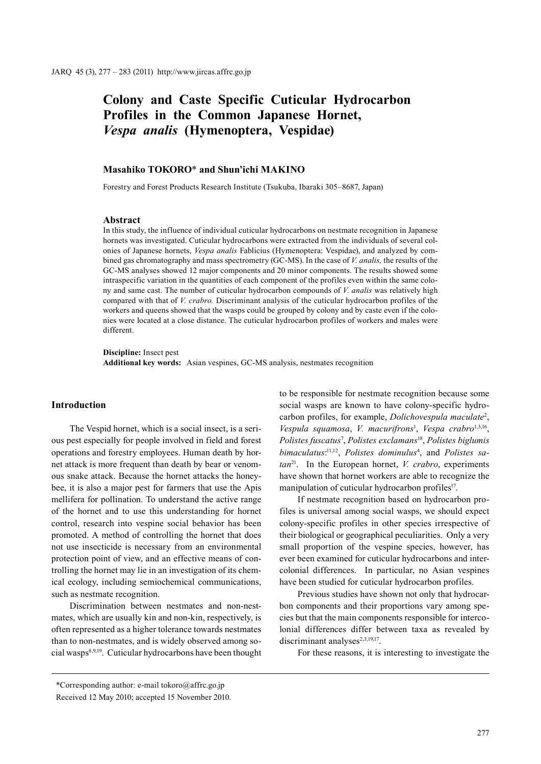# **Colony and Caste Specific Cuticular Hydrocarbon Profiles in the Common Japanese Hornet,**  *Vespa analis* **(Hymenoptera, Vespidae)**

# **Masahiko TOKORO**\* **and Shun'ichi MAKINO**

Forestry and Forest Products Research Institute (Tsukuba, Ibaraki 305–8687, Japan)

#### **Abstract**

In this study, the influence of individual cuticular hydrocarbons on nestmate recognition in Japanese hornets was investigated. Cuticular hydrocarbons were extracted from the individuals of several colonies of Japanese hornets, *Vespa analis* Fablicius (Hymenoptera: Vespidae), and analyzed by combined gas chromatography and mass spectrometry (GC-MS). In the case of *V. analis,* the results of the GC-MS analyses showed 12 major components and 20 minor components. The results showed some intraspecific variation in the quantities of each component of the profiles even within the same colony and same cast. The number of cuticular hydrocarbon compounds of *V. analis* was relatively high compared with that of *V. crabro.* Discriminant analysis of the cuticular hydrocarbon profiles of the workers and queens showed that the wasps could be grouped by colony and by caste even if the colonies were located at a close distance. The cuticular hydrocarbon profiles of workers and males were different.

**Discipline:** Insect pest **Additional key words:** Asian vespines, GC-MS analysis, nestmates recognition

#### **Introduction**

The Vespid hornet, which is a social insect, is a serious pest especially for people involved in field and forest operations and forestry employees. Human death by hornet attack is more frequent than death by bear or venomous snake attack. Because the hornet attacks the honeybee, it is also a major pest for farmers that use the Apis mellifera for pollination. To understand the active range of the hornet and to use this understanding for hornet control, research into vespine social behavior has been promoted. A method of controlling the hornet that does not use insecticide is necessary from an environmental protection point of view, and an effective means of controlling the hornet may lie in an investigation of its chemical ecology, including semiochemical communications, such as nestmate recognition.

Discrimination between nestmates and non-nestmates, which are usually kin and non-kin, respectively, is often represented as a higher tolerance towards nestmates than to non-nestmates, and is widely observed among social wasps<sup>8,9,19</sup>. Cuticular hydrocarbons have been thought

to be responsible for nestmate recognition because some social wasps are known to have colony-specific hydrocarbon profiles, for example, *Dolichovespula maculate*<sup>2</sup> , *Vespula squamosa*, *V. macurifrons*<sup>1</sup> , *Vespa crabro*1,3,16, *Polistes fuscatus*<sup>7</sup> , *Polistes exclamans*18, *Polistes biglumis*  bimaculatus:<sup>11,12</sup>, Polistes dominulus<sup>4</sup>, and Polistes sa*tan*21. In the European hornet, *V. crabro*, experiments have shown that hornet workers are able to recognize the manipulation of cuticular hydrocarbon profiles<sup>17</sup>.

If nestmate recognition based on hydrocarbon profiles is universal among social wasps, we should expect colony-specific profiles in other species irrespective of their biological or geographical peculiarities. Only a very small proportion of the vespine species, however, has ever been examined for cuticular hydrocarbons and intercolonial differences. In particular, no Asian vespines have been studied for cuticular hydrocarbon profiles.

Previous studies have shown not only that hydrocarbon components and their proportions vary among species but that the main components responsible for intercolonial differences differ between taxa as revealed by discriminant analyses<sup>2,3,19,17</sup>.

For these reasons, it is interesting to investigate the

\*Corresponding author: e-mail tokoro@affrc.go.jp Received 12 May 2010; accepted 15 November 2010.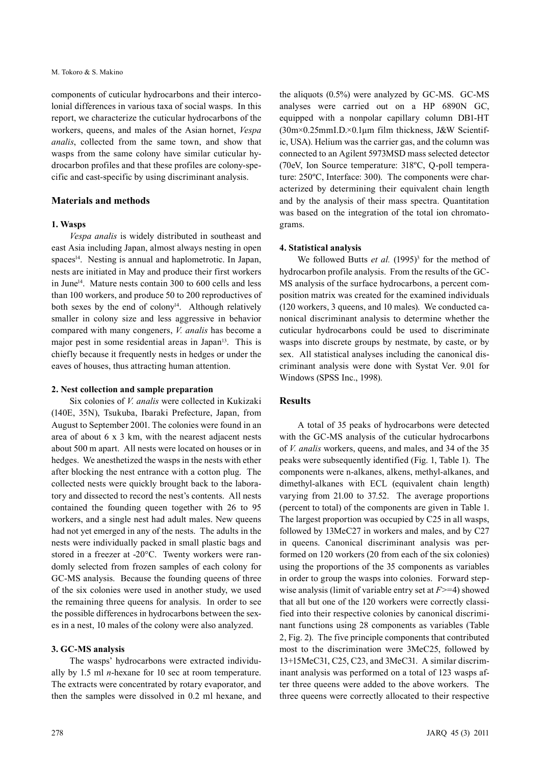#### M. Tokoro & S. Makino

components of cuticular hydrocarbons and their intercolonial differences in various taxa of social wasps. In this report, we characterize the cuticular hydrocarbons of the workers, queens, and males of the Asian hornet, *Vespa analis*, collected from the same town, and show that wasps from the same colony have similar cuticular hydrocarbon profiles and that these profiles are colony-specific and cast-specific by using discriminant analysis.

# **Materials and methods**

#### **1. Wasps**

*Vespa analis* is widely distributed in southeast and east Asia including Japan, almost always nesting in open spaces<sup>14</sup>. Nesting is annual and haplometrotic. In Japan, nests are initiated in May and produce their first workers in June<sup>14</sup>. Mature nests contain 300 to  $600$  cells and less than 100 workers, and produce 50 to 200 reproductives of both sexes by the end of colony<sup>14</sup>. Although relatively smaller in colony size and less aggressive in behavior compared with many congeners, *V. analis* has become a major pest in some residential areas in Japan<sup>13</sup>. This is chiefly because it frequently nests in hedges or under the eaves of houses, thus attracting human attention.

#### **2. Nest collection and sample preparation**

Six colonies of *V. analis* were collected in Kukizaki (140E, 35N), Tsukuba, Ibaraki Prefecture, Japan, from August to September 2001. The colonies were found in an area of about 6 x 3 km, with the nearest adjacent nests about 500 m apart. All nests were located on houses or in hedges. We anesthetized the wasps in the nests with ether after blocking the nest entrance with a cotton plug. The collected nests were quickly brought back to the laboratory and dissected to record the nest's contents. All nests contained the founding queen together with 26 to 95 workers, and a single nest had adult males. New queens had not yet emerged in any of the nests. The adults in the nests were individually packed in small plastic bags and stored in a freezer at -20°C. Twenty workers were randomly selected from frozen samples of each colony for GC-MS analysis. Because the founding queens of three of the six colonies were used in another study, we used the remaining three queens for analysis. In order to see the possible differences in hydrocarbons between the sexes in a nest, 10 males of the colony were also analyzed.

#### **3. GC-MS analysis**

The wasps' hydrocarbons were extracted individually by 1.5 ml *n*-hexane for 10 sec at room temperature. The extracts were concentrated by rotary evaporator, and then the samples were dissolved in 0.2 ml hexane, and the aliquots (0.5%) were analyzed by GC-MS. GC-MS analyses were carried out on a HP 6890N GC, equipped with a nonpolar capillary column DB1-HT (30m×0.25mmI.D.×0.1μm film thickness, J&W Scientific, USA). Helium was the carrier gas, and the column was connected to an Agilent 5973MSD mass selected detector (70eV, Ion Source temperature: 318ºC, Q-poll temperature: 250ºC, Interface: 300). The components were characterized by determining their equivalent chain length and by the analysis of their mass spectra. Quantitation was based on the integration of the total ion chromatograms.

#### **4. Statistical analysis**

We followed Butts *et al.* (1995)<sup>3</sup> for the method of hydrocarbon profile analysis. From the results of the GC-MS analysis of the surface hydrocarbons, a percent composition matrix was created for the examined individuals (120 workers, 3 queens, and 10 males). We conducted canonical discriminant analysis to determine whether the cuticular hydrocarbons could be used to discriminate wasps into discrete groups by nestmate, by caste, or by sex. All statistical analyses including the canonical discriminant analysis were done with Systat Ver. 9.01 for Windows (SPSS Inc., 1998).

### **Results**

A total of 35 peaks of hydrocarbons were detected with the GC-MS analysis of the cuticular hydrocarbons of *V. analis* workers, queens, and males, and 34 of the 35 peaks were subsequently identified (Fig. 1, Table 1). The components were n-alkanes, alkens, methyl-alkanes, and dimethyl-alkanes with ECL (equivalent chain length) varying from 21.00 to 37.52. The average proportions (percent to total) of the components are given in Table 1. The largest proportion was occupied by C25 in all wasps, followed by 13MeC27 in workers and males, and by C27 in queens. Canonical discriminant analysis was performed on 120 workers (20 from each of the six colonies) using the proportions of the 35 components as variables in order to group the wasps into colonies. Forward stepwise analysis (limit of variable entry set at *F*>=4) showed that all but one of the 120 workers were correctly classified into their respective colonies by canonical discriminant functions using 28 components as variables (Table 2, Fig. 2). The five principle components that contributed most to the discrimination were 3MeC25, followed by 13+15MeC31, C25, C23, and 3MeC31. A similar discriminant analysis was performed on a total of 123 wasps after three queens were added to the above workers. The three queens were correctly allocated to their respective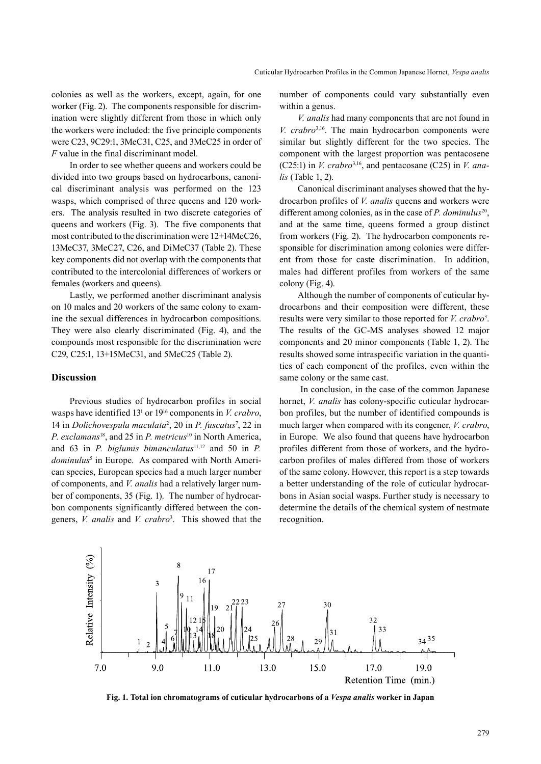colonies as well as the workers, except, again, for one worker (Fig. 2). The components responsible for discrimination were slightly different from those in which only the workers were included: the five principle components were C23, 9C29:1, 3MeC31, C25, and 3MeC25 in order of *F* value in the final discriminant model.

In order to see whether queens and workers could be divided into two groups based on hydrocarbons, canonical discriminant analysis was performed on the 123 wasps, which comprised of three queens and 120 workers. The analysis resulted in two discrete categories of queens and workers (Fig. 3). The five components that most contributed to the discrimination were 12+14MeC26, 13MeC37, 3MeC27, C26, and DiMeC37 (Table 2). These key components did not overlap with the components that contributed to the intercolonial differences of workers or females (workers and queens).

Lastly, we performed another discriminant analysis on 10 males and 20 workers of the same colony to examine the sexual differences in hydrocarbon compositions. They were also clearly discriminated (Fig. 4), and the compounds most responsible for the discrimination were C29, C25:1, 13+15MeC31, and 5MeC25 (Table 2).

#### **Discussion**

Previous studies of hydrocarbon profiles in social wasps have identified 131 or 1916 components in *V. crabro*, 14 in *Dolichovespula maculata*<sup>2</sup> , 20 in *P. fuscatus*<sup>7</sup> , 22 in *P. exclamans*<sup>18</sup>, and 25 in *P. metricus*<sup>10</sup> in North America, and 63 in *P. biglumis bimanculatus*<sup>11,12</sup> and 50 in *P.* dominulus<sup>5</sup> in Europe. As compared with North American species, European species had a much larger number of components, and *V. analis* had a relatively larger number of components, 35 (Fig. 1). The number of hydrocarbon components significantly differed between the congeners, *V. analis* and *V. crabro*<sup>3</sup> . This showed that the number of components could vary substantially even within a genus.

*V. analis* had many components that are not found in *V. crabro*3,16. The main hydrocarbon components were similar but slightly different for the two species. The component with the largest proportion was pentacosene (C25:1) in *V. crabro*3,16, and pentacosane (C25) in *V. analis* (Table 1, 2).

Canonical discriminant analyses showed that the hydrocarbon profiles of *V. analis* queens and workers were different among colonies, as in the case of *P. dominulus*<sup>20</sup>, and at the same time, queens formed a group distinct from workers (Fig. 2). The hydrocarbon components responsible for discrimination among colonies were different from those for caste discrimination. In addition, males had different profiles from workers of the same colony (Fig. 4).

Although the number of components of cuticular hydrocarbons and their composition were different, these results were very similar to those reported for *V. crabro*<sup>3</sup>. The results of the GC-MS analyses showed 12 major components and 20 minor components (Table 1, 2). The results showed some intraspecific variation in the quantities of each component of the profiles, even within the same colony or the same cast.

 In conclusion, in the case of the common Japanese hornet, *V. analis* has colony-specific cuticular hydrocarbon profiles, but the number of identified compounds is much larger when compared with its congener, *V. crabro*, in Europe. We also found that queens have hydrocarbon profiles different from those of workers, and the hydrocarbon profiles of males differed from those of workers of the same colony. However, this report is a step towards a better understanding of the role of cuticular hydrocarbons in Asian social wasps. Further study is necessary to determine the details of the chemical system of nestmate recognition.



**Fig. 1. Total ion chromatograms of cuticular hydrocarbons of a** *Vespa analis* **worker in Japan**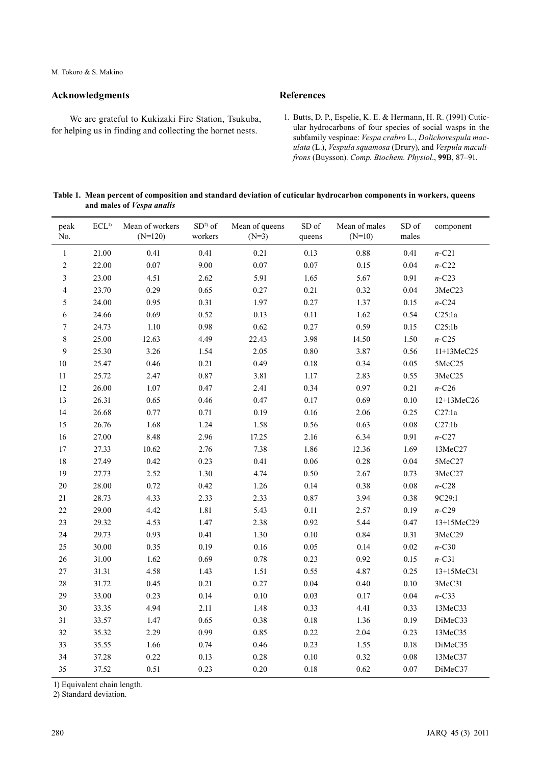## **Acknowledgments**

We are grateful to Kukizaki Fire Station, Tsukuba, for helping us in finding and collecting the hornet nests.

# **References**

1. Butts, D. P., Espelie, K. E. & Hermann, H. R. (1991) Cuticular hydrocarbons of four species of social wasps in the subfamily vespinae: *Vespa crabro* L., *Dolichovespula maculata* (L.), *Vespula squamosa* (Drury), and *Vespula maculifrons* (Buysson). *Comp. Biochem. Physiol*., **99**B, 87–91.

#### **Table 1. Mean percent of composition and standard deviation of cuticular hydrocarbon components in workers, queens and males of** *Vespa analis*

| peak<br>No.              | $\mathrm{ECL^{1)}}$ | Mean of workers<br>$(N=120)$ | $SD2$ of<br>workers | Mean of queens<br>$(N=3)$ | SD of<br>queens | Mean of males<br>$(N=10)$ | SD of<br>males | component  |
|--------------------------|---------------------|------------------------------|---------------------|---------------------------|-----------------|---------------------------|----------------|------------|
| $\,1$                    | 21.00               | 0.41                         | 0.41                | 0.21                      | 0.13            | 0.88                      | 0.41           | $n$ -C21   |
| $\sqrt{2}$               | 22.00               | $0.07\,$                     | 9.00                | $0.07\,$                  | 0.07            | 0.15                      | 0.04           | $n$ -C22   |
| $\mathfrak{Z}$           | 23.00               | 4.51                         | 2.62                | 5.91                      | 1.65            | 5.67                      | 0.91           | $n$ -C23   |
| $\overline{\mathcal{L}}$ | 23.70               | 0.29                         | 0.65                | 0.27                      | 0.21            | 0.32                      | 0.04           | 3MeC23     |
| 5                        | 24.00               | 0.95                         | 0.31                | 1.97                      | 0.27            | 1.37                      | 0.15           | $n$ -C24   |
| $\sqrt{6}$               | 24.66               | 0.69                         | 0.52                | 0.13                      | 0.11            | 1.62                      | 0.54           | C25:1a     |
| $\boldsymbol{7}$         | 24.73               | 1.10                         | 0.98                | 0.62                      | 0.27            | 0.59                      | 0.15           | C25:1b     |
| $\,$ $\,$                | 25.00               | 12.63                        | 4.49                | 22.43                     | 3.98            | 14.50                     | 1.50           | $n$ -C25   |
| $\boldsymbol{9}$         | 25.30               | 3.26                         | 1.54                | 2.05                      | 0.80            | 3.87                      | 0.56           | 11+13MeC25 |
| $10\,$                   | 25.47               | 0.46                         | 0.21                | 0.49                      | $0.18\,$        | 0.34                      | $0.05\,$       | 5MeC25     |
| $11\,$                   | 25.72               | 2.47                         | $0.87\,$            | 3.81                      | 1.17            | 2.83                      | 0.55           | 3MeC25     |
| $12\,$                   | 26.00               | $1.07\,$                     | 0.47                | 2.41                      | 0.34            | 0.97                      | 0.21           | $n$ -C26   |
| 13                       | 26.31               | 0.65                         | 0.46                | 0.47                      | 0.17            | 0.69                      | 0.10           | 12+13MeC26 |
| 14                       | 26.68               | 0.77                         | 0.71                | 0.19                      | 0.16            | 2.06                      | 0.25           | C27:1a     |
| 15                       | 26.76               | 1.68                         | 1.24                | 1.58                      | 0.56            | 0.63                      | 0.08           | C27:1b     |
| $16\,$                   | 27.00               | 8.48                         | 2.96                | 17.25                     | 2.16            | 6.34                      | 0.91           | $n$ -C27   |
| $17\,$                   | 27.33               | 10.62                        | 2.76                | 7.38                      | 1.86            | 12.36                     | 1.69           | 13MeC27    |
| $18\,$                   | 27.49               | 0.42                         | 0.23                | 0.41                      | 0.06            | 0.28                      | 0.04           | 5MeC27     |
| 19                       | 27.73               | 2.52                         | 1.30                | 4.74                      | 0.50            | 2.67                      | 0.73           | 3MeC27     |
| 20                       | 28.00               | 0.72                         | 0.42                | 1.26                      | 0.14            | 0.38                      | 0.08           | $n$ -C28   |
| 21                       | 28.73               | 4.33                         | 2.33                | 2.33                      | 0.87            | 3.94                      | 0.38           | 9C29:1     |
| $22\,$                   | 29.00               | 4.42                         | 1.81                | 5.43                      | 0.11            | 2.57                      | 0.19           | $n$ -C29   |
| 23                       | 29.32               | 4.53                         | 1.47                | 2.38                      | 0.92            | 5.44                      | 0.47           | 13+15MeC29 |
| 24                       | 29.73               | 0.93                         | 0.41                | 1.30                      | $0.10\,$        | 0.84                      | 0.31           | 3MeC29     |
| 25                       | 30.00               | 0.35                         | 0.19                | 0.16                      | 0.05            | 0.14                      | $0.02\,$       | $n$ -C30   |
| 26                       | 31.00               | 1.62                         | 0.69                | 0.78                      | 0.23            | 0.92                      | 0.15           | $n$ -C31   |
| 27                       | 31.31               | 4.58                         | 1.43                | 1.51                      | 0.55            | 4.87                      | 0.25           | 13+15MeC31 |
| 28                       | 31.72               | 0.45                         | 0.21                | 0.27                      | 0.04            | 0.40                      | $0.10\,$       | 3MeC31     |
| 29                       | 33.00               | 0.23                         | 0.14                | 0.10                      | 0.03            | 0.17                      | 0.04           | $n$ -C33   |
| 30                       | 33.35               | 4.94                         | 2.11                | 1.48                      | 0.33            | 4.41                      | 0.33           | 13MeC33    |
| 31                       | 33.57               | 1.47                         | 0.65                | 0.38                      | $0.18\,$        | 1.36                      | 0.19           | DiMeC33    |
| 32                       | 35.32               | 2.29                         | 0.99                | 0.85                      | 0.22            | 2.04                      | 0.23           | 13MeC35    |
| 33                       | 35.55               | 1.66                         | 0.74                | 0.46                      | 0.23            | 1.55                      | $0.18\,$       | DiMeC35    |
| 34                       | 37.28               | 0.22                         | 0.13                | 0.28                      | $0.10\,$        | 0.32                      | $0.08\,$       | 13MeC37    |
| 35                       | 37.52               | 0.51                         | 0.23                | 0.20                      | $0.18\,$        | 0.62                      | 0.07           | DiMeC37    |

1) Equivalent chain length.

2) Standard deviation.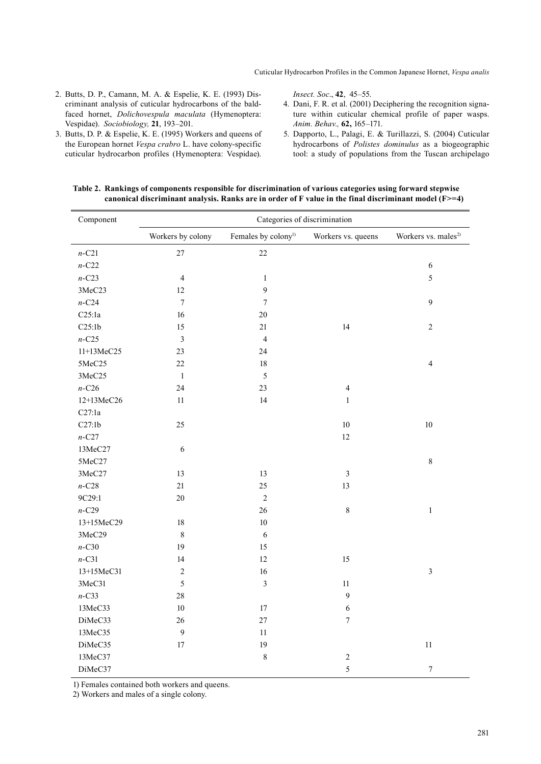2. Butts, D. P., Camann, M. A. & Espelie, K. E. (1993) Discriminant analysis of cuticular hydrocarbons of the baldfaced hornet, *Dolichovespula maculata* (Hymenoptera: Vespidae). *Sociobiology,* **21**, 193–201. 3. Butts, D. P. & Espelie, K. E. (1995) Workers and queens of

the European hornet *Vespa crabro* L. have colony-specific cuticular hydrocarbon profiles (Hymenoptera: Vespidae).

*Insect. Soc*., **42**, 45–55.

- 4. Dani, F. R. et al. (2001) Deciphering the recognition signature within cuticular chemical profile of paper wasps. *Anim. Behav.,* **62,** 165–171.
- 5. Dapporto, L., Palagi, E. & Turillazzi, S. (2004) Cuticular hydrocarbons of *Polistes dominulus* as a biogeographic tool: a study of populations from the Tuscan archipelago

# **Table 2. Rankings of components responsible for discrimination of various categories using forward stepwise**

**canonical discriminant analysis. Ranks are in order of F value in the final discriminant model (F>=4)**

| Component               | Categories of discrimination |                                 |                          |                                 |  |  |  |  |
|-------------------------|------------------------------|---------------------------------|--------------------------|---------------------------------|--|--|--|--|
|                         | Workers by colony            | Females by colony <sup>1)</sup> | Workers vs. queens       | Workers vs. males <sup>2)</sup> |  |  |  |  |
| $n$ -C21                | 27                           | 22                              |                          |                                 |  |  |  |  |
| $n$ -C22                |                              |                                 |                          | $\sqrt{6}$                      |  |  |  |  |
| $n$ -C23                | $\overline{4}$               | $\mathbf{1}$                    |                          | 5                               |  |  |  |  |
| 3MeC23                  | 12                           | 9                               |                          |                                 |  |  |  |  |
| $n$ -C24                | $\boldsymbol{7}$             | $\boldsymbol{7}$                |                          | 9                               |  |  |  |  |
| C25:1a                  | 16                           | $20\,$                          |                          |                                 |  |  |  |  |
| C25:1b                  | 15                           | 21                              | 14                       | $\sqrt{2}$                      |  |  |  |  |
| $n$ -C25                | $\mathfrak{Z}$               | $\overline{4}$                  |                          |                                 |  |  |  |  |
| 11+13MeC25              | 23                           | 24                              |                          |                                 |  |  |  |  |
| 5MeC25                  | 22                           | $18\,$                          |                          | $\overline{4}$                  |  |  |  |  |
| 3MeC25                  | $\mathbf{1}$                 | 5                               |                          |                                 |  |  |  |  |
| $n$ -C26                | 24                           | 23                              | $\overline{\mathcal{L}}$ |                                 |  |  |  |  |
| 12+13MeC26              | 11                           | 14                              | $\mathbf{1}$             |                                 |  |  |  |  |
| C27:1a                  |                              |                                 |                          |                                 |  |  |  |  |
| C27:1b                  | 25                           |                                 | $10\,$                   | $10\,$                          |  |  |  |  |
| $n$ -C27                |                              |                                 | 12                       |                                 |  |  |  |  |
| 13MeC27                 | 6                            |                                 |                          |                                 |  |  |  |  |
| 5MeC27                  |                              |                                 |                          | $8\,$                           |  |  |  |  |
| 3MeC27                  | 13                           | 13                              | $\mathfrak{Z}$           |                                 |  |  |  |  |
| $n\text{-}\mathrm{C}28$ | 21                           | 25                              | 13                       |                                 |  |  |  |  |
| 9C29:1                  | $20\,$                       | $\sqrt{2}$                      |                          |                                 |  |  |  |  |
| $n$ -C29                |                              | 26                              | $\,8\,$                  | $\,1$                           |  |  |  |  |
| 13+15MeC29              | $18\,$                       | $10\,$                          |                          |                                 |  |  |  |  |
| 3MeC29                  | $\,8\,$                      | 6                               |                          |                                 |  |  |  |  |
| $n$ -C30                | 19                           | 15                              |                          |                                 |  |  |  |  |
| $n$ -C31                | 14                           | 12                              | 15                       |                                 |  |  |  |  |
| 13+15MeC31              | $\sqrt{2}$                   | 16                              |                          | $\mathfrak{Z}$                  |  |  |  |  |
| 3MeC31                  | $\sqrt{5}$                   | $\overline{\mathbf{3}}$         | $11\,$                   |                                 |  |  |  |  |
| $n$ -C33                | 28                           |                                 | $\mathbf{9}$             |                                 |  |  |  |  |
| 13MeC33                 | $10\,$                       | $17\,$                          | $\sqrt{6}$               |                                 |  |  |  |  |
| DiMeC33                 | 26                           | 27                              | $\boldsymbol{7}$         |                                 |  |  |  |  |
| 13MeC35                 | $\overline{9}$               | 11                              |                          |                                 |  |  |  |  |
| DiMeC35                 | 17                           | 19                              |                          | $11\,$                          |  |  |  |  |
| 13MeC37                 |                              | 8                               | $\sqrt{2}$               |                                 |  |  |  |  |
| DiMeC37                 |                              |                                 | 5                        | $\boldsymbol{7}$                |  |  |  |  |

1) Females contained both workers and queens.

2) Workers and males of a single colony.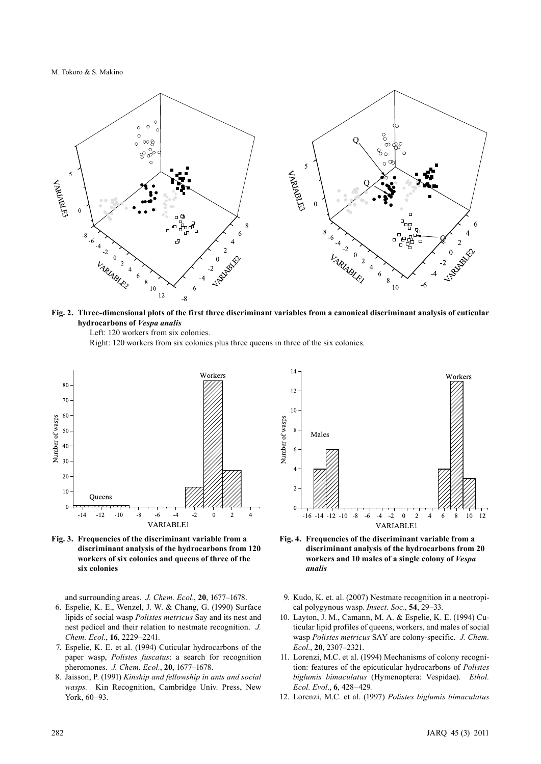M. Tokoro & S. Makino



**Fig. 2. Three-dimensional plots of the first three discriminant variables from a canonical discriminant analysis of cuticular hydrocarbons of** *Vespa analis*

Left: 120 workers from six colonies.

Right: 120 workers from six colonies plus three queens in three of the six colonies*.*



**Fig. 3. Frequencies of the discriminant variable from a discriminant analysis of the hydrocarbons from 120 workers of six colonies and queens of three of the six colonies**

and surrounding areas. *J. Chem. Ecol*., **20**, 1677–1678.

- 6. Espelie, K. E., Wenzel, J. W. & Chang, G. (1990) Surface lipids of social wasp *Polistes metricus* Say and its nest and nest pedicel and their relation to nestmate recognition. *J. Chem. Ecol*., **16**, 2229–2241.
- 7. Espelie, K. E. et al. (1994) Cuticular hydrocarbons of the paper wasp, *Polistes fuscatus*: a search for recognition pheromones. *J. Chem. Ecol.*, **20**, 1677–1678.
- 8. Jaisson, P. (1991) *Kinship and fellowship in ants and social wasps.* Kin Recognition, Cambridge Univ. Press, New York, 60–93.



- **Fig. 4. Frequencies of the discriminant variable from a discriminant analysis of the hydrocarbons from 20 workers and 10 males of a single colony of** *Vespa analis*
- 9. Kudo, K. et. al. (2007) Nestmate recognition in a neotropical polygynous wasp. *Insect. Soc*., **54**, 29–33.
- 10. Layton, J. M., Camann, M. A. & Espelie, K. E. (1994) Cuticular lipid profiles of queens, workers, and males of social wasp *Polistes metricus* SAY are colony-specific. *J. Chem. Ecol.*, **20**, 2307–2321.
- 11. Lorenzi, M.C. et al. (1994) Mechanisms of colony recognition: features of the epicuticular hydrocarbons of *Polistes biglumis bimaculatus* (Hymenoptera: Vespidae). *Ethol. Ecol. Evol*., **6**, 428–429*.*
- 12. Lorenzi, M.C. et al. (1997) *Polistes biglumis bimaculatus*